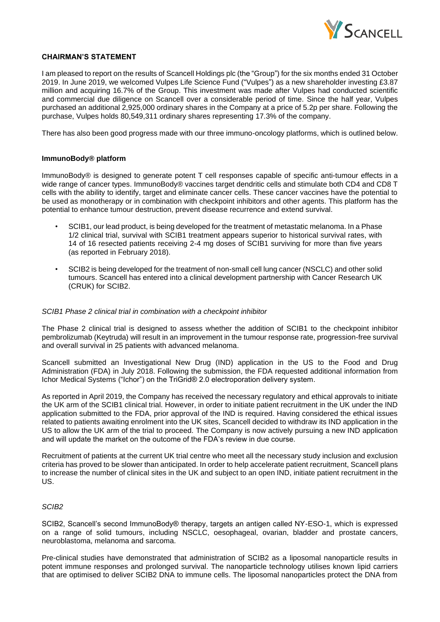

## **CHAIRMAN'S STATEMENT**

I am pleased to report on the results of Scancell Holdings plc (the "Group") for the six months ended 31 October 2019. In June 2019, we welcomed Vulpes Life Science Fund ("Vulpes") as a new shareholder investing £3.87 million and acquiring 16.7% of the Group. This investment was made after Vulpes had conducted scientific and commercial due diligence on Scancell over a considerable period of time. Since the half year, Vulpes purchased an additional 2,925,000 ordinary shares in the Company at a price of 5.2p per share. Following the purchase, Vulpes holds 80,549,311 ordinary shares representing 17.3% of the company.

There has also been good progress made with our three immuno-oncology platforms, which is outlined below.

# **ImmunoBody® platform**

ImmunoBody® is designed to generate potent T cell responses capable of specific anti-tumour effects in a wide range of cancer types. ImmunoBody® vaccines target dendritic cells and stimulate both CD4 and CD8 T cells with the ability to identify, target and eliminate cancer cells. These cancer vaccines have the potential to be used as monotherapy or in combination with checkpoint inhibitors and other agents. This platform has the potential to enhance tumour destruction, prevent disease recurrence and extend survival.

- SCIB1, our lead product, is being developed for the treatment of metastatic melanoma. In a Phase 1/2 clinical trial, survival with SCIB1 treatment appears superior to historical survival rates, with 14 of 16 resected patients receiving 2-4 mg doses of SCIB1 surviving for more than five years (as reported in February 2018).
- SCIB2 is being developed for the treatment of non-small cell lung cancer (NSCLC) and other solid tumours. Scancell has entered into a clinical development partnership with Cancer Research UK (CRUK) for SCIB2.

#### *SCIB1 Phase 2 clinical trial in combination with a checkpoint inhibitor*

The Phase 2 clinical trial is designed to assess whether the addition of SCIB1 to the checkpoint inhibitor pembrolizumab (Keytruda) will result in an improvement in the tumour response rate, progression-free survival and overall survival in 25 patients with advanced melanoma.

Scancell submitted an Investigational New Drug (IND) application in the US to the Food and Drug Administration (FDA) in July 2018. Following the submission, the FDA requested additional information from Ichor Medical Systems ("Ichor") on the TriGrid® 2.0 electroporation delivery system.

As reported in April 2019, the Company has received the necessary regulatory and ethical approvals to initiate the UK arm of the SCIB1 clinical trial. However, in order to initiate patient recruitment in the UK under the IND application submitted to the FDA, prior approval of the IND is required. Having considered the ethical issues related to patients awaiting enrolment into the UK sites, Scancell decided to withdraw its IND application in the US to allow the UK arm of the trial to proceed. The Company is now actively pursuing a new IND application and will update the market on the outcome of the FDA's review in due course.

Recruitment of patients at the current UK trial centre who meet all the necessary study inclusion and exclusion criteria has proved to be slower than anticipated. In order to help accelerate patient recruitment, Scancell plans to increase the number of clinical sites in the UK and subject to an open IND, initiate patient recruitment in the US.

#### *SCIB2*

SCIB2, Scancell's second ImmunoBody® therapy, targets an antigen called NY-ESO-1, which is expressed on a range of solid tumours, including NSCLC, oesophageal, ovarian, bladder and prostate cancers, neuroblastoma, melanoma and sarcoma.

Pre-clinical studies have demonstrated that administration of SCIB2 as a liposomal nanoparticle results in potent immune responses and prolonged survival. The nanoparticle technology utilises known lipid carriers that are optimised to deliver SCIB2 DNA to immune cells. The liposomal nanoparticles protect the DNA from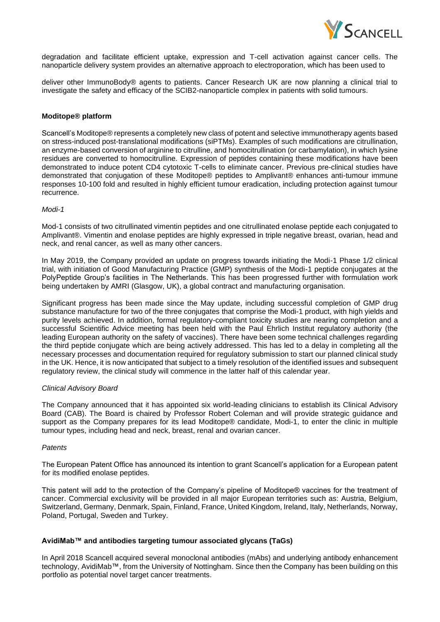

degradation and facilitate efficient uptake, expression and T-cell activation against cancer cells. The nanoparticle delivery system provides an alternative approach to electroporation, which has been used to

deliver other ImmunoBody® agents to patients. Cancer Research UK are now planning a clinical trial to investigate the safety and efficacy of the SCIB2-nanoparticle complex in patients with solid tumours.

## **Moditope® platform**

Scancell's Moditope® represents a completely new class of potent and selective immunotherapy agents based on stress-induced post-translational modifications (siPTMs). Examples of such modifications are citrullination, an enzyme-based conversion of arginine to citrulline, and homocitrullination (or carbamylation), in which lysine residues are converted to homocitrulline. Expression of peptides containing these modifications have been demonstrated to induce potent CD4 cytotoxic T-cells to eliminate cancer. Previous pre-clinical studies have demonstrated that conjugation of these Moditope® peptides to Amplivant® enhances anti-tumour immune responses 10-100 fold and resulted in highly efficient tumour eradication, including protection against tumour recurrence.

## *Modi-1*

Mod-1 consists of two citrullinated vimentin peptides and one citrullinated enolase peptide each conjugated to Amplivant®. Vimentin and enolase peptides are highly expressed in triple negative breast, ovarian, head and neck, and renal cancer, as well as many other cancers.

In May 2019, the Company provided an update on progress towards initiating the Modi-1 Phase 1/2 clinical trial, with initiation of Good Manufacturing Practice (GMP) synthesis of the Modi-1 peptide conjugates at the PolyPeptide Group's facilities in The Netherlands. This has been progressed further with formulation work being undertaken by AMRI (Glasgow, UK), a global contract and manufacturing organisation.

Significant progress has been made since the May update, including successful completion of GMP drug substance manufacture for two of the three conjugates that comprise the Modi-1 product, with high yields and purity levels achieved. In addition, formal regulatory-compliant toxicity studies are nearing completion and a successful Scientific Advice meeting has been held with the Paul Ehrlich Institut regulatory authority (the leading European authority on the safety of vaccines). There have been some technical challenges regarding the third peptide conjugate which are being actively addressed. This has led to a delay in completing all the necessary processes and documentation required for regulatory submission to start our planned clinical study in the UK. Hence, it is now anticipated that subject to a timely resolution of the identified issues and subsequent regulatory review, the clinical study will commence in the latter half of this calendar year.

## *Clinical Advisory Board*

The Company announced that it has appointed six world-leading clinicians to establish its Clinical Advisory Board (CAB). The Board is chaired by Professor Robert Coleman and will provide strategic guidance and support as the Company prepares for its lead Moditope® candidate, Modi-1, to enter the clinic in multiple tumour types, including head and neck, breast, renal and ovarian cancer.

## *Patents*

The European Patent Office has announced its intention to grant Scancell's application for a European patent for its modified enolase peptides.

This patent will add to the protection of the Company's pipeline of Moditope® vaccines for the treatment of cancer. Commercial exclusivity will be provided in all major European territories such as: Austria, Belgium, Switzerland, Germany, Denmark, Spain, Finland, France, United Kingdom, Ireland, Italy, Netherlands, Norway, Poland, Portugal, Sweden and Turkey.

## **AvidiMab™ and antibodies targeting tumour associated glycans (TaGs)**

In April 2018 Scancell acquired several monoclonal antibodies (mAbs) and underlying antibody enhancement technology, AvidiMab™, from the University of Nottingham. Since then the Company has been building on this portfolio as potential novel target cancer treatments.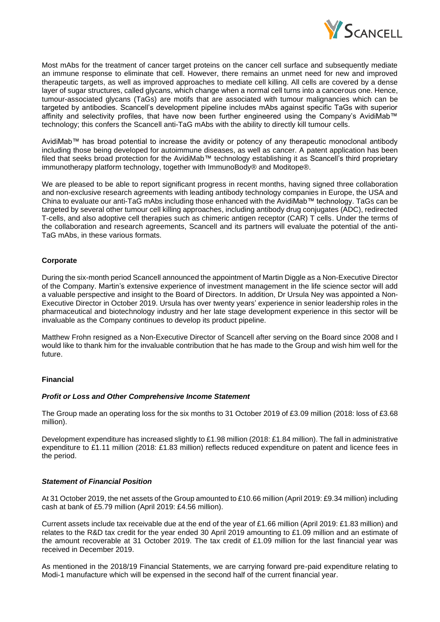

Most mAbs for the treatment of cancer target proteins on the cancer cell surface and subsequently mediate an immune response to eliminate that cell. However, there remains an unmet need for new and improved therapeutic targets, as well as improved approaches to mediate cell killing. All cells are covered by a dense layer of sugar structures, called glycans, which change when a normal cell turns into a cancerous one. Hence, tumour-associated glycans (TaGs) are motifs that are associated with tumour malignancies which can be targeted by antibodies. Scancell's development pipeline includes mAbs against specific TaGs with superior affinity and selectivity profiles, that have now been further engineered using the Company's AvidiMab™ technology; this confers the Scancell anti-TaG mAbs with the ability to directly kill tumour cells.

AvidiMab™ has broad potential to increase the avidity or potency of any therapeutic monoclonal antibody including those being developed for autoimmune diseases, as well as cancer. A patent application has been filed that seeks broad protection for the AvidiMab™ technology establishing it as Scancell's third proprietary immunotherapy platform technology, together with ImmunoBody® and Moditope®.

We are pleased to be able to report significant progress in recent months, having signed three collaboration and non-exclusive research agreements with leading antibody technology companies in Europe, the USA and China to evaluate our anti-TaG mAbs including those enhanced with the AvidiMab™ technology. TaGs can be targeted by several other tumour cell killing approaches, including antibody drug conjugates (ADC), redirected T-cells, and also adoptive cell therapies such as chimeric antigen receptor (CAR) T cells. Under the terms of the collaboration and research agreements, Scancell and its partners will evaluate the potential of the anti-TaG mAbs, in these various formats.

# **Corporate**

During the six-month period Scancell announced the appointment of Martin Diggle as a Non-Executive Director of the Company. Martin's extensive experience of investment management in the life science sector will add a valuable perspective and insight to the Board of Directors. In addition, Dr Ursula Ney was appointed a Non-Executive Director in October 2019. Ursula has over twenty years' experience in senior leadership roles in the pharmaceutical and biotechnology industry and her late stage development experience in this sector will be invaluable as the Company continues to develop its product pipeline.

Matthew Frohn resigned as a Non-Executive Director of Scancell after serving on the Board since 2008 and I would like to thank him for the invaluable contribution that he has made to the Group and wish him well for the future.

## **Financial**

## *Profit or Loss and Other Comprehensive Income Statement*

The Group made an operating loss for the six months to 31 October 2019 of £3.09 million (2018: loss of £3.68 million).

Development expenditure has increased slightly to £1.98 million (2018: £1.84 million). The fall in administrative expenditure to £1.11 million (2018: £1.83 million) reflects reduced expenditure on patent and licence fees in the period.

# *Statement of Financial Position*

At 31 October 2019, the net assets of the Group amounted to £10.66 million (April 2019: £9.34 million) including cash at bank of £5.79 million (April 2019: £4.56 million).

Current assets include tax receivable due at the end of the year of £1.66 million (April 2019: £1.83 million) and relates to the R&D tax credit for the year ended 30 April 2019 amounting to £1.09 million and an estimate of the amount recoverable at 31 October 2019. The tax credit of £1.09 million for the last financial year was received in December 2019.

As mentioned in the 2018/19 Financial Statements, we are carrying forward pre-paid expenditure relating to Modi-1 manufacture which will be expensed in the second half of the current financial year.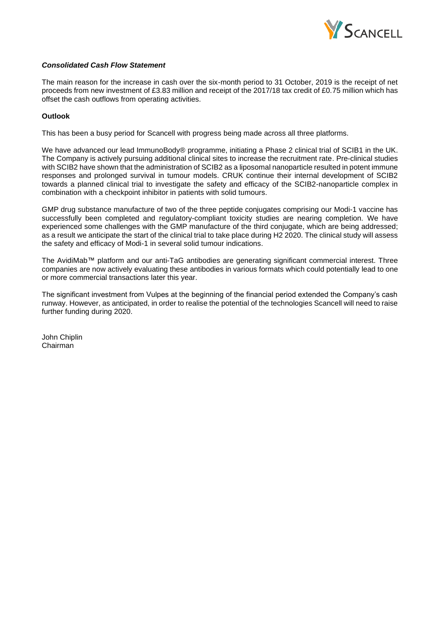

# *Consolidated Cash Flow Statement*

The main reason for the increase in cash over the six-month period to 31 October, 2019 is the receipt of net proceeds from new investment of £3.83 million and receipt of the 2017/18 tax credit of £0.75 million which has offset the cash outflows from operating activities.

# **Outlook**

This has been a busy period for Scancell with progress being made across all three platforms.

We have advanced our lead ImmunoBody® programme, initiating a Phase 2 clinical trial of SCIB1 in the UK. The Company is actively pursuing additional clinical sites to increase the recruitment rate. Pre-clinical studies with SCIB2 have shown that the administration of SCIB2 as a liposomal nanoparticle resulted in potent immune responses and prolonged survival in tumour models. CRUK continue their internal development of SCIB2 towards a planned clinical trial to investigate the safety and efficacy of the SCIB2-nanoparticle complex in combination with a checkpoint inhibitor in patients with solid tumours.

GMP drug substance manufacture of two of the three peptide conjugates comprising our Modi-1 vaccine has successfully been completed and regulatory-compliant toxicity studies are nearing completion. We have experienced some challenges with the GMP manufacture of the third conjugate, which are being addressed; as a result we anticipate the start of the clinical trial to take place during H2 2020. The clinical study will assess the safety and efficacy of Modi-1 in several solid tumour indications.

The AvidiMab™ platform and our anti-TaG antibodies are generating significant commercial interest. Three companies are now actively evaluating these antibodies in various formats which could potentially lead to one or more commercial transactions later this year.

The significant investment from Vulpes at the beginning of the financial period extended the Company's cash runway. However, as anticipated, in order to realise the potential of the technologies Scancell will need to raise further funding during 2020.

John Chiplin Chairman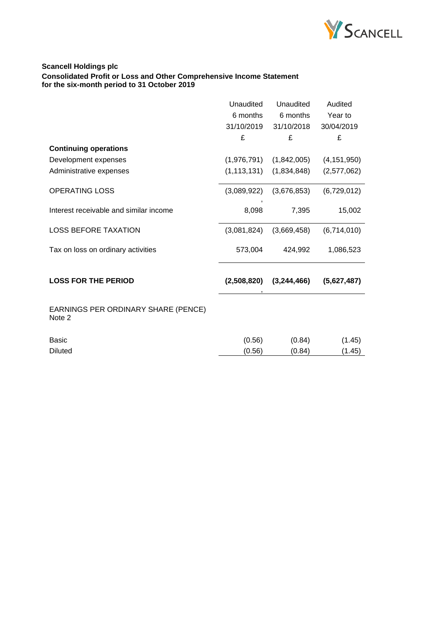

# **Scancell Holdings plc Consolidated Profit or Loss and Other Comprehensive Income Statement for the six-month period to 31 October 2019**

|                                               | Unaudited     | Unaudited   | Audited       |
|-----------------------------------------------|---------------|-------------|---------------|
|                                               | 6 months      | 6 months    | Year to       |
|                                               | 31/10/2019    | 31/10/2018  | 30/04/2019    |
|                                               | £             | £           | £             |
| <b>Continuing operations</b>                  |               |             |               |
| Development expenses                          | (1,976,791)   | (1,842,005) | (4, 151, 950) |
| Administrative expenses                       | (1, 113, 131) | (1,834,848) | (2,577,062)   |
| <b>OPERATING LOSS</b>                         | (3,089,922)   | (3,676,853) | (6,729,012)   |
| Interest receivable and similar income        | 8,098         | 7,395       | 15,002        |
| <b>LOSS BEFORE TAXATION</b>                   | (3,081,824)   | (3,669,458) | (6,714,010)   |
| Tax on loss on ordinary activities            | 573,004       | 424,992     | 1,086,523     |
| <b>LOSS FOR THE PERIOD</b>                    | (2,508,820)   | (3,244,466) | (5,627,487)   |
| EARNINGS PER ORDINARY SHARE (PENCE)<br>Note 2 |               |             |               |
| <b>Basic</b>                                  | (0.56)        | (0.84)      | (1.45)        |
| <b>Diluted</b>                                | (0.56)        | (0.84)      | (1.45)        |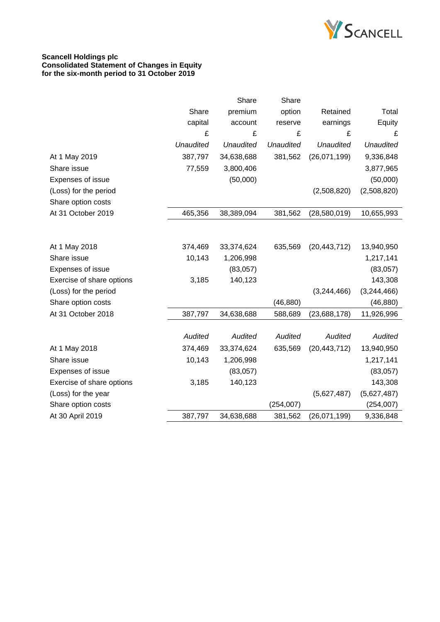

# **Scancell Holdings plc Consolidated Statement of Changes in Equity for the six-month period to 31 October 2019**

|                           |                  | Share            | Share            |                  |                  |
|---------------------------|------------------|------------------|------------------|------------------|------------------|
|                           | Share            | premium          | option           | Retained         | Total            |
|                           | capital          | account          | reserve          | earnings         | Equity           |
|                           | £                | £                | £                | £                | £                |
|                           | <b>Unaudited</b> | <b>Unaudited</b> | <b>Unaudited</b> | <b>Unaudited</b> | <b>Unaudited</b> |
| At 1 May 2019             | 387,797          | 34,638,688       | 381,562          | (26,071,199)     | 9,336,848        |
| Share issue               | 77,559           | 3,800,406        |                  |                  | 3,877,965        |
| Expenses of issue         |                  | (50,000)         |                  |                  | (50,000)         |
| (Loss) for the period     |                  |                  |                  | (2,508,820)      | (2,508,820)      |
| Share option costs        |                  |                  |                  |                  |                  |
| At 31 October 2019        | 465,356          | 38,389,094       | 381,562          | (28,580,019)     | 10,655,993       |
|                           |                  |                  |                  |                  |                  |
|                           |                  |                  |                  |                  |                  |
| At 1 May 2018             | 374,469          | 33,374,624       | 635,569          | (20, 443, 712)   | 13,940,950       |
| Share issue               | 10,143           | 1,206,998        |                  |                  | 1,217,141        |
| Expenses of issue         |                  | (83,057)         |                  |                  | (83,057)         |
| Exercise of share options | 3,185            | 140,123          |                  |                  | 143,308          |
| (Loss) for the period     |                  |                  |                  | (3,244,466)      | (3,244,466)      |
| Share option costs        |                  |                  | (46, 880)        |                  | (46, 880)        |
| At 31 October 2018        | 387,797          | 34,638,688       | 588,689          | (23,688,178)     | 11,926,996       |
|                           |                  |                  |                  |                  |                  |
|                           | Audited          | Audited          | Audited          | Audited          | Audited          |
| At 1 May 2018             | 374,469          | 33,374,624       | 635,569          | (20, 443, 712)   | 13,940,950       |
| Share issue               | 10,143           | 1,206,998        |                  |                  | 1,217,141        |
| Expenses of issue         |                  | (83,057)         |                  |                  | (83,057)         |
| Exercise of share options | 3,185            | 140,123          |                  |                  | 143,308          |
| (Loss) for the year       |                  |                  |                  | (5,627,487)      | (5,627,487)      |
| Share option costs        |                  |                  | (254, 007)       |                  | (254, 007)       |
| At 30 April 2019          | 387,797          | 34,638,688       | 381,562          | (26,071,199)     | 9,336,848        |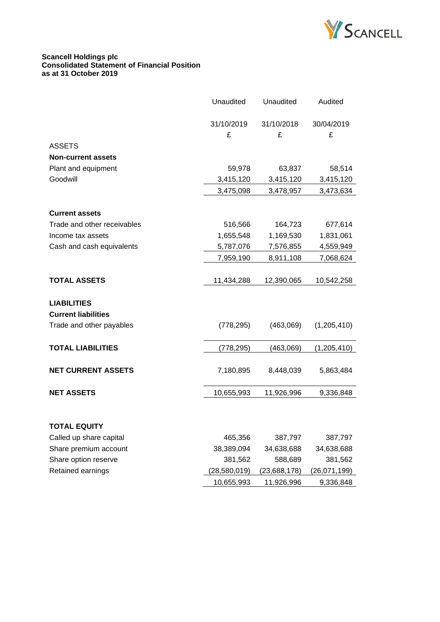

#### **Scancell Holdings plc Consolidated Statement of Financial Position as at 31 October 2019**

|                             | <b>Unaudited</b> | Unaudited    | Audited      |
|-----------------------------|------------------|--------------|--------------|
|                             | 31/10/2019       | 31/10/2018   | 30/04/2019   |
|                             | £                | £            | £            |
| <b>ASSETS</b>               |                  |              |              |
| <b>Non-current assets</b>   |                  |              |              |
| Plant and equipment         | 59,978           | 63,837       | 58,514       |
| Goodwill                    | 3,415,120        | 3,415,120    | 3,415,120    |
|                             | 3,475,098        | 3,478,957    | 3,473,634    |
| <b>Current assets</b>       |                  |              |              |
| Trade and other receivables | 516,566          | 164,723      | 677,614      |
| Income tax assets           | 1,655,548        | 1,169,530    | 1,831,061    |
| Cash and cash equivalents   | 5,787,076        | 7,576,855    | 4,559,949    |
|                             | 7,959,190        | 8,911,108    | 7,068,624    |
|                             |                  |              |              |
| <b>TOTAL ASSETS</b>         | 11,434,288       | 12,390,065   | 10,542,258   |
| <b>LIABILITIES</b>          |                  |              |              |
| <b>Current liabilities</b>  |                  |              |              |
| Trade and other payables    | (778, 295)       | (463,069)    | (1,205,410)  |
| <b>TOTAL LIABILITIES</b>    | (778, 295)       | (463,069)    | (1,205,410)  |
| <b>NET CURRENT ASSETS</b>   | 7,180,895        | 8,448,039    | 5,863,484    |
| <b>NET ASSETS</b>           | 10,655,993       | 11,926,996   | 9,336,848    |
|                             |                  |              |              |
| TOTAL EQUITY                |                  |              |              |
| Called up share capital     | 465,356          | 387,797      | 387,797      |
| Share premium account       | 38,389,094       | 34,638,688   | 34,638,688   |
| Share option reserve        | 381,562          | 588,689      | 381,562      |
| Retained earnings           | (28,580,019)     | (23,688,178) | (26,071,199) |
|                             | 10,655,993       | 11,926,996   | 9,336,848    |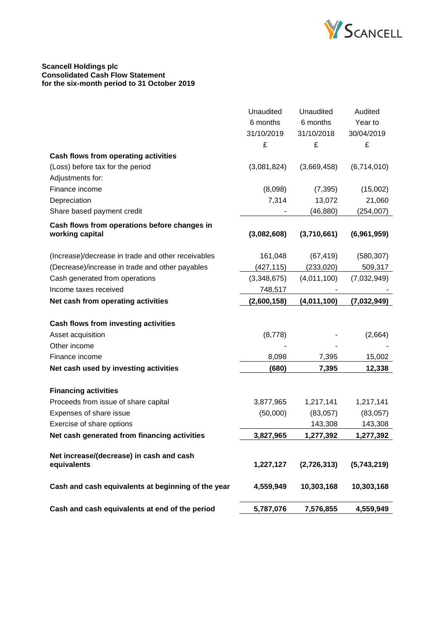

## **Scancell Holdings plc Consolidated Cash Flow Statement for the six-month period to 31 October 2019**

|                                                    | Unaudited   | Unaudited   | Audited     |
|----------------------------------------------------|-------------|-------------|-------------|
|                                                    | 6 months    | 6 months    | Year to     |
|                                                    | 31/10/2019  | 31/10/2018  | 30/04/2019  |
|                                                    | £           | £           | £           |
| Cash flows from operating activities               |             |             |             |
| (Loss) before tax for the period                   | (3,081,824) | (3,669,458) | (6,714,010) |
| Adjustments for:                                   |             |             |             |
| Finance income                                     | (8,098)     | (7, 395)    | (15,002)    |
| Depreciation                                       | 7,314       | 13,072      | 21,060      |
| Share based payment credit                         |             | (46, 880)   | (254,007)   |
| Cash flows from operations before changes in       |             |             |             |
| working capital                                    | (3,082,608) | (3,710,661) | (6,961,959) |
| (Increase)/decrease in trade and other receivables | 161,048     | (67, 419)   | (580, 307)  |
| (Decrease)/increase in trade and other payables    | (427, 115)  | (233, 020)  | 509,317     |
| Cash generated from operations                     | (3,348,675) | (4,011,100) | (7,032,949) |
| Income taxes received                              | 748,517     |             |             |
| Net cash from operating activities                 | (2,600,158) | (4,011,100) | (7,032,949) |
|                                                    |             |             |             |
| Cash flows from investing activities               |             |             |             |
| Asset acquisition                                  | (8,778)     |             | (2,664)     |
| Other income                                       |             |             |             |
| Finance income                                     | 8,098       | 7,395       | 15,002      |
| Net cash used by investing activities              | (680)       | 7,395       | 12,338      |
| <b>Financing activities</b>                        |             |             |             |
| Proceeds from issue of share capital               | 3,877,965   | 1,217,141   | 1,217,141   |
| Expenses of share issue                            | (50,000)    | (83,057)    | (83,057)    |
| Exercise of share options                          |             | 143,308     | 143,308     |
| Net cash generated from financing activities       | 3,827,965   | 1,277,392   | 1,277,392   |
|                                                    |             |             |             |
| Net increase/(decrease) in cash and cash           |             |             |             |
| equivalents                                        | 1,227,127   | (2,726,313) | (5,743,219) |
| Cash and cash equivalents at beginning of the year | 4,559,949   | 10,303,168  | 10,303,168  |
| Cash and cash equivalents at end of the period     | 5,787,076   | 7,576,855   | 4,559,949   |
|                                                    |             |             |             |